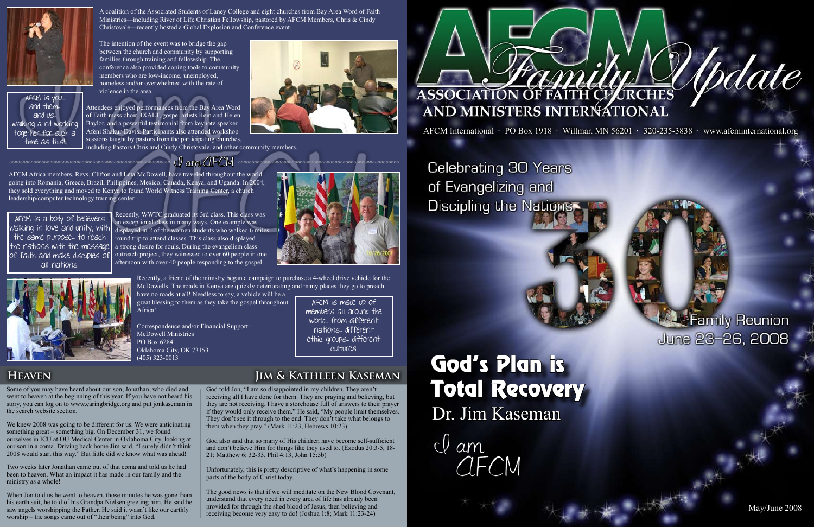May/June 2008

AFCM Africa members, Revs. Clifton and Leta McDowell, have traveled throughout the world going into Romania, Greece, Brazil, Philippines, Mexico, Canada, Kenya, and Uganda. In 2004, they sold everything and moved to Kenya to found World Witness Training Center, a church leadership/computer technology training center.

> Recently, WWTC graduated its 3rd class. This class was an exceptional class in many ways. One example was displayed in 2 of the women students who walked 6 miles round trip to attend classes. This class also displayed a strong desire for souls. During the evangelism class outreach project, they witnessed to over 60 people in one afternoon with over 40 people responding to the gospel.

> > Recently, a friend of the ministry began a campaign to purchase a 4-wheel drive vehicle for the McDowells. The roads in Kenya are quickly deteriorating and many places they go to preach

have no roads at all! Needless to say, a vehicle will be a great blessing to them as they take the gospel throughout Africa!

Correspondence and/or Financial Support: McDowell Ministries PO Box 6284 Oklahoma City, OK 73153 (405) 323-0013

A coalition of the Associated Students of Laney College and eight churches from Bay Area Word of Faith Ministries—including River of Life Christian Fellowship, pastored by AFCM Members, Chris & Cindy Christovale—recently hosted a Global Explosion and Conference event.

The intention of the event was to bridge the gap between the church and community by supporting families through training and fellowship. The conference also provided coping tools to community members who are low-income, unemployed, homeless and/or overwhelmed with the rate of violence in the area.

Attendees enjoyed performances from the Bay Area Word of Faith mass choir, IXALT, gospel artists Rein and Helen Baylor, and a powerful testimonial from keynote speaker Afeni Shakur-Davis. Participants also attended workshop sessions taught by pastors from the participating churches, including Pastors Chris and Cindy Christovale, and other community members.



#### $1$  am AFCM  $\infty$

## God's Plan is Total Recovery Dr. Jim Kaseman

 $Q$  am **AFCM** 



## Family Reunion June 23-26, 2008

Some of you may have heard about our son, Jonathan, who died and went to heaven at the beginning of this year. If you have not heard his story, you can log on to www.caringbridge.org and put jonkaseman in the search website section.

We knew 2008 was going to be different for us. We were anticipating something great – something big. On December 31, we found ourselves in ICU at OU Medical Center in Oklahoma City, looking at our son in a coma. Driving back home Jim said, "I surely didn't think 2008 would start this way." But little did we know what was ahead!

Two weeks later Jonathan came out of that coma and told us he had been to heaven. What an impact it has made in our family and the ministry as a whole!

When Jon told us he went to heaven, those minutes he was gone from his earth suit, he told of his Grandpa Nielsen greeting him. He said he saw angels worshipping the Father. He said it wasn't like our earthly worship – the songs came out of "their being" into God.

#### **Heaven Jim & Kathleen Kaseman**

God told Jon, "I am so disappointed in my children. They aren't receiving all I have done for them. They are praying and believing, but they are not receiving. I have a storehouse full of answers to their prayer if they would only receive them." He said, "My people limit themselves. They don't see it through to the end. They don't take what belongs to them when they pray." (Mark 11:23, Hebrews 10:23)

God also said that so many of His children have become self-sufficient and don't believe Him for things like they used to. (Exodus 20:3-5, 18- 21; Matthew 6: 32-33, Phil 4:13, John 15:5b)

Unfortunately, this is pretty descriptive of what's happening in some parts of the body of Christ today.

The good news is that if we will meditate on the New Blood Covenant, understand that every need in every area of life has already been provided for through the shed blood of Jesus, then believing and receiving become very easy to do! (Joshua 1:8; Mark 11:23-24)



AFCM International  $\cdot$  PO Box 1918  $\cdot$  Willmar, MN 56201  $\cdot$  320-235-3838  $\cdot$  www.afcminternational.org

**Celebrating 30 Years** of Evangelizing and Discipling the Nations

AFCM is made up of members all around the world... from different nations... different ethic groups... different cultures.

AFCM is a body of believers walking in love and unity, with the same purpose... to reach the nations with the message of faith and make disciples of all nations.





AFCM is you... and them... and us... walking a nd working together for such a time as this!